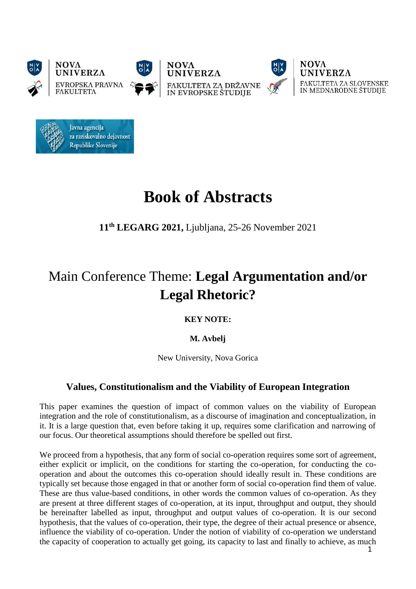





**NOVA UNIVERZA** FAKULTETA ZA SLOVENSKE IN MEDNARODNE ŠTUDIJE



# **Book of Abstracts**

**11th LEGARG 2021,** Ljubljana, 25-26 November 2021

# Main Conference Theme: **Legal Argumentation and/or Legal Rhetoric?**

**KEY NOTE:**

**M. Avbelj**

New University, Nova Gorica

# **Values, Constitutionalism and the Viability of European Integration**

This paper examines the question of impact of common values on the viability of European integration and the role of constitutionalism, as a discourse of imagination and conceptualization, in it. It is a large question that, even before taking it up, requires some clarification and narrowing of our focus. Our theoretical assumptions should therefore be spelled out first.

We proceed from a hypothesis, that any form of social co-operation requires some sort of agreement, either explicit or implicit, on the conditions for starting the co-operation, for conducting the cooperation and about the outcomes this co-operation should ideally result in. These conditions are typically set because those engaged in that or another form of social co-operation find them of value. These are thus value-based conditions, in other words the common values of co-operation. As they are present at three different stages of co-operation, at its input, throughput and output, they should be hereinafter labelled as input, throughput and output values of co-operation. It is our second hypothesis, that the values of co-operation, their type, the degree of their actual presence or absence, influence the viability of co-operation. Under the notion of viability of co-operation we understand the capacity of cooperation to actually get going, its capacity to last and finally to achieve, as much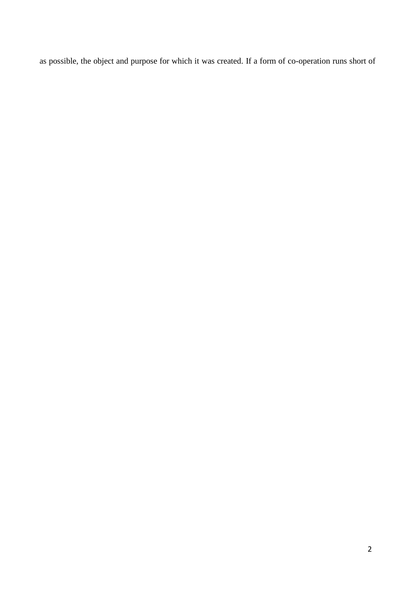as possible, the object and purpose for which it was created. If a form of co-operation runs short of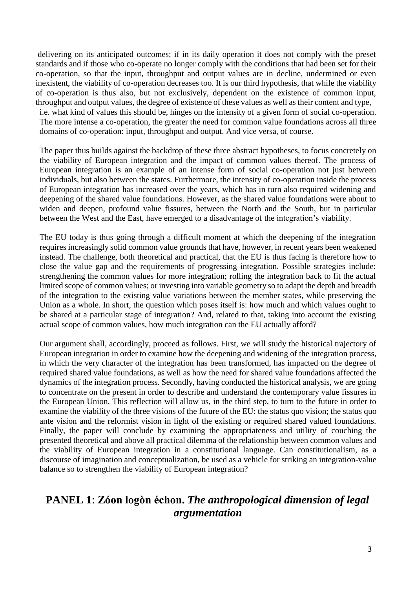delivering on its anticipated outcomes; if in its daily operation it does not comply with the preset standards and if those who co-operate no longer comply with the conditions that had been set for their co-operation, so that the input, throughput and output values are in decline, undermined or even inexistent, the viability of co-operation decreases too. It is our third hypothesis, that while the viability of co-operation is thus also, but not exclusively, dependent on the existence of common input, throughput and output values, the degree of existence of these values as well as their content and type, i.e. what kind of values this should be, hinges on the intensity of a given form of social co-operation. The more intense a co-operation, the greater the need for common value foundations across all three domains of co-operation: input, throughput and output. And vice versa, of course.

The paper thus builds against the backdrop of these three abstract hypotheses, to focus concretely on the viability of European integration and the impact of common values thereof. The process of European integration is an example of an intense form of social co-operation not just between individuals, but also between the states. Furthermore, the intensity of co-operation inside the process of European integration has increased over the years, which has in turn also required widening and deepening of the shared value foundations. However, as the shared value foundations were about to widen and deepen, profound value fissures, between the North and the South, but in particular between the West and the East, have emerged to a disadvantage of the integration's viability.

The EU today is thus going through a difficult moment at which the deepening of the integration requires increasingly solid common value grounds that have, however, in recent years been weakened instead. The challenge, both theoretical and practical, that the EU is thus facing is therefore how to close the value gap and the requirements of progressing integration. Possible strategies include: strengthening the common values for more integration; rolling the integration back to fit the actual limited scope of common values; or investing into variable geometry so to adapt the depth and breadth of the integration to the existing value variations between the member states, while preserving the Union as a whole. In short, the question which poses itself is: how much and which values ought to be shared at a particular stage of integration? And, related to that, taking into account the existing actual scope of common values, how much integration can the EU actually afford?

Our argument shall, accordingly, proceed as follows. First, we will study the historical trajectory of European integration in order to examine how the deepening and widening of the integration process, in which the very character of the integration has been transformed, has impacted on the degree of required shared value foundations, as well as how the need for shared value foundations affected the dynamics of the integration process. Secondly, having conducted the historical analysis, we are going to concentrate on the present in order to describe and understand the contemporary value fissures in the European Union. This reflection will allow us, in the third step, to turn to the future in order to examine the viability of the three visions of the future of the EU: the status quo vision; the status quo ante vision and the reformist vision in light of the existing or required shared valued foundations. Finally, the paper will conclude by examining the appropriateness and utility of couching the presented theoretical and above all practical dilemma of the relationship between common values and the viability of European integration in a constitutional language. Can constitutionalism, as a discourse of imagination and conceptualization, be used as a vehicle for striking an integration-value balance so to strengthen the viability of European integration?

## **PANEL 1**: **Zóon logòn échon.** *The anthropological dimension of legal argumentation*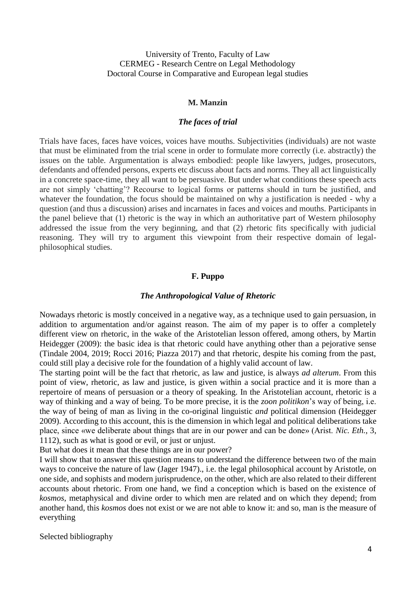University of Trento, Faculty of Law CERMEG - Research Centre on Legal Methodology Doctoral Course in Comparative and European legal studies

#### **M. Manzin**

## *The faces of trial*

Trials have faces, faces have voices, voices have mouths. Subjectivities (individuals) are not waste that must be eliminated from the trial scene in order to formulate more correctly (i.e. abstractly) the issues on the table. Argumentation is always embodied: people like lawyers, judges, prosecutors, defendants and offended persons, experts etc discuss about facts and norms. They all act linguistically in a concrete space-time, they all want to be persuasive. But under what conditions these speech acts are not simply 'chatting'? Recourse to logical forms or patterns should in turn be justified, and whatever the foundation, the focus should be maintained on why a justification is needed - why a question (and thus a discussion) arises and incarnates in faces and voices and mouths. Participants in the panel believe that (1) rhetoric is the way in which an authoritative part of Western philosophy addressed the issue from the very beginning, and that (2) rhetoric fits specifically with judicial reasoning. They will try to argument this viewpoint from their respective domain of legalphilosophical studies.

## **F. Puppo**

#### *The Anthropological Value of Rhetoric*

Nowadays rhetoric is mostly conceived in a negative way, as a technique used to gain persuasion, in addition to argumentation and/or against reason. The aim of my paper is to offer a completely different view on rhetoric, in the wake of the Aristotelian lesson offered, among others, by Martin Heidegger (2009): the basic idea is that rhetoric could have anything other than a pejorative sense (Tindale 2004, 2019; Rocci 2016; Piazza 2017) and that rhetoric, despite his coming from the past, could still play a decisive role for the foundation of a highly valid account of law.

The starting point will be the fact that rhetoric, as law and justice, is always *ad alterum*. From this point of view, rhetoric, as law and justice, is given within a social practice and it is more than a repertoire of means of persuasion or a theory of speaking. In the Aristotelian account, rhetoric is a way of thinking and a way of being. To be more precise, it is the *zoon politikon*'s way of being, i.e. the way of being of man as living in the co-original linguistic *and* political dimension (Heidegger 2009). According to this account, this is the dimension in which legal and political deliberations take place, since «we deliberate about things that are in our power and can be done» (Arist. *Nic. Eth.*, 3, 1112), such as what is good or evil, or just or unjust.

But what does it mean that these things are in our power?

I will show that to answer this question means to understand the difference between two of the main ways to conceive the nature of law (Jager 1947)., i.e. the legal philosophical account by Aristotle, on one side, and sophists and modern jurisprudence, on the other, which are also related to their different accounts about rhetoric. From one hand, we find a conception which is based on the existence of *kosmos*, metaphysical and divine order to which men are related and on which they depend; from another hand, this *kosmos* does not exist or we are not able to know it: and so, man is the measure of everything

Selected bibliography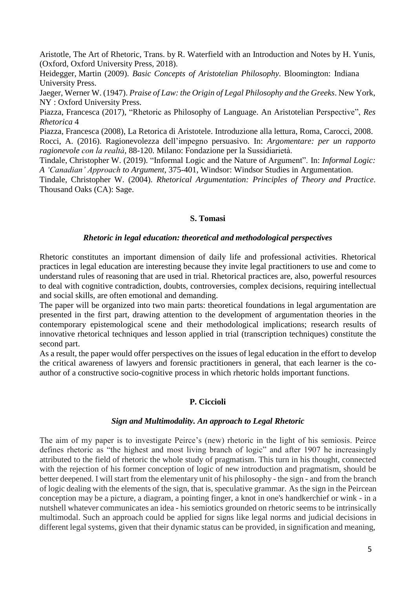Aristotle, The Art of Rhetoric, Trans. by R. Waterfield with an Introduction and Notes by H. Yunis, (Oxford, Oxford University Press, 2018).

Heidegger, Martin (2009). *Basic Concepts of Aristotelian Philosophy*. Bloomington: Indiana University Press.

[Jaeger,](https://www.worldcat.org/search?q=au%3AJaeger%2C%2BWerner%2BWilhelm%2C&qt=hot_author) Werner W. (1947). *Praise of Law: the Origin of Legal Philosophy and the Greeks*. New York, NY : Oxford University Press.

Piazza, Francesca (2017), "Rhetoric as Philosophy of Language. An Aristotelian Perspective", *Res Rhetorica* 4

Piazza, Francesca (2008), La Retorica di Aristotele. Introduzione alla lettura, Roma, Carocci, 2008. Rocci, A. (2016). Ragionevolezza dell'impegno persuasivo. In: *Argomentare: per un rapporto ragionevole con la realtà*, 88-120. Milano: Fondazione per la Sussidiarietà.

Tindale, Christopher W. (2019). "Informal Logic and the Nature of Argument". In: *Informal Logic: A 'Canadian' Approach to Argument*, 375-401, Windsor: Windsor Studies in Argumentation.

Tindale, Christopher W. (2004). *Rhetorical Argumentation: Principles of Theory and Practice*. Thousand Oaks (CA): Sage.

### **S. Tomasi**

#### *Rhetoric in legal education: theoretical and methodological perspectives*

Rhetoric constitutes an important dimension of daily life and professional activities. Rhetorical practices in legal education are interesting because they invite legal practitioners to use and come to understand rules of reasoning that are used in trial. Rhetorical practices are, also, powerful resources to deal with cognitive contradiction, doubts, controversies, complex decisions, requiring intellectual and social skills, are often emotional and demanding.

The paper will be organized into two main parts: theoretical foundations in legal argumentation are presented in the first part, drawing attention to the development of argumentation theories in the contemporary epistemological scene and their methodological implications; research results of innovative rhetorical techniques and lesson applied in trial (transcription techniques) constitute the second part.

As a result, the paper would offer perspectives on the issues of legal education in the effort to develop the critical awareness of lawyers and forensic practitioners in general, that each learner is the coauthor of a constructive socio-cognitive process in which rhetoric holds important functions.

## **P. Ciccioli**

#### *Sign and Multimodality. An approach to Legal Rhetoric*

The aim of my paper is to investigate Peirce's (new) rhetoric in the light of his semiosis. Peirce defines rhetoric as "the highest and most living branch of logic" and after 1907 he increasingly attributed to the field of rhetoric the whole study of pragmatism. This turn in his thought, connected with the rejection of his former conception of logic of new introduction and pragmatism, should be better deepened. I will start from the elementary unit of his philosophy - the sign - and from the branch of logic dealing with the elements of the sign, that is, speculative grammar. As the sign in the Peircean conception may be a picture, a diagram, a pointing finger, a knot in one's handkerchief or wink - in a nutshell whatever communicates an idea - his semiotics grounded on rhetoric seems to be intrinsically multimodal. Such an approach could be applied for signs like legal norms and judicial decisions in different legal systems, given that their dynamic status can be provided, in signification and meaning,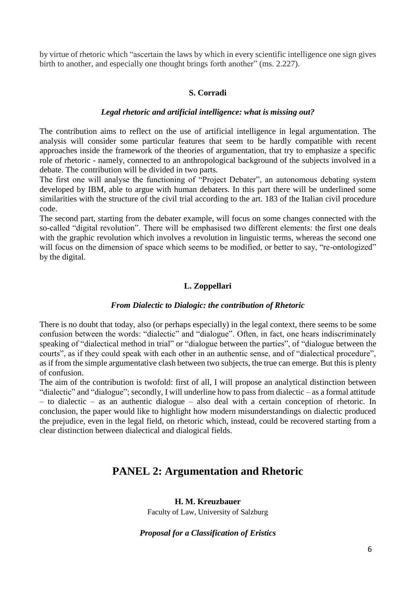by virtue of rhetoric which "ascertain the laws by which in every scientific intelligence one sign gives birth to another, and especially one thought brings forth another" (ms. 2.227).

## **S. Corradi**

## *Legal rhetoric and artificial intelligence: what is missing out?*

The contribution aims to reflect on the use of artificial intelligence in legal argumentation. The analysis will consider some particular features that seem to be hardly compatible with recent approaches inside the framework of the theories of argumentation, that try to emphasize a specific role of rhetoric - namely, connected to an anthropological background of the subjects involved in a debate. The contribution will be divided in two parts.

The first one will analyse the functioning of "Project Debater", an autonomous debating system developed by IBM, able to argue with human debaters. In this part there will be underlined some similarities with the structure of the civil trial according to the art. 183 of the Italian civil procedure code.

The second part, starting from the debater example, will focus on some changes connected with the so-called "digital revolution". There will be emphasised two different elements: the first one deals with the graphic revolution which involves a revolution in linguistic terms, whereas the second one will focus on the dimension of space which seems to be modified, or better to say, "re-ontologized" by the digital.

## **L. Zoppellari**

## *From Dialectic to Dialogic: the contribution of Rhetoric*

There is no doubt that today, also (or perhaps especially) in the legal context, there seems to be some confusion between the words: "dialectic" and "dialogue". Often, in fact, one hears indiscriminately speaking of "dialectical method in trial" or "dialogue between the parties", of "dialogue between the courts", as if they could speak with each other in an authentic sense, and of "dialectical procedure", as if from the simple argumentative clash between two subjects, the true can emerge. But this is plenty of confusion.

The aim of the contribution is twofold: first of all, I will propose an analytical distinction between "dialectic" and "dialogue"; secondly, I will underline how to pass from dialectic – as a formal attitude – to dialectic – as an authentic dialogue – also deal with a certain conception of rhetoric. In conclusion, the paper would like to highlight how modern misunderstandings on dialectic produced the prejudice, even in the legal field, on rhetoric which, instead, could be recovered starting from a clear distinction between dialectical and dialogical fields.

## **PANEL 2: Argumentation and Rhetoric**

## **H. M. Kreuzbauer**

Faculty of Law, University of Salzburg

## *Proposal for a Classification of Eristics*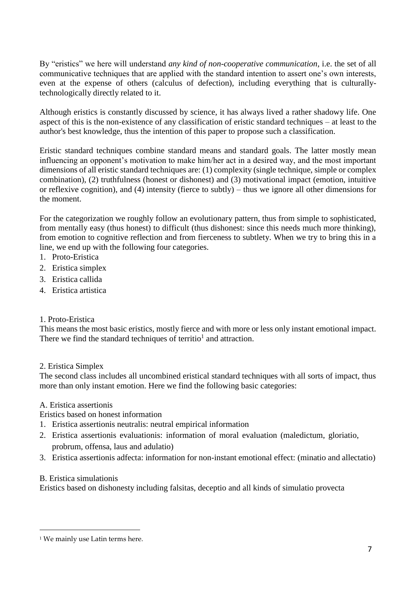By "eristics" we here will understand *any kind of non-cooperative communication*, i.e. the set of all communicative techniques that are applied with the standard intention to assert one's own interests, even at the expense of others (calculus of defection), including everything that is culturallytechnologically directly related to it.

Although eristics is constantly discussed by science, it has always lived a rather shadowy life. One aspect of this is the non-existence of any classification of eristic standard techniques – at least to the author's best knowledge, thus the intention of this paper to propose such a classification.

Eristic standard techniques combine standard means and standard goals. The latter mostly mean influencing an opponent's motivation to make him/her act in a desired way, and the most important dimensions of all eristic standard techniques are: (1) complexity (single technique, simple or complex combination), (2) truthfulness (honest or dishonest) and (3) motivational impact (emotion, intuitive or reflexive cognition), and (4) intensity (fierce to subtly) – thus we ignore all other dimensions for the moment.

For the categorization we roughly follow an evolutionary pattern, thus from simple to sophisticated, from mentally easy (thus honest) to difficult (thus dishonest: since this needs much more thinking), from emotion to cognitive reflection and from fierceness to subtlety. When we try to bring this in a line, we end up with the following four categories.

- 1. Proto-Eristica
- 2. Eristica simplex
- 3. Eristica callida
- 4. Eristica artistica

## 1. Proto-Eristica

This means the most basic eristics, mostly fierce and with more or less only instant emotional impact. There we find the standard techniques of territio<sup>1</sup> and attraction.

## 2. Eristica Simplex

The second class includes all uncombined eristical standard techniques with all sorts of impact, thus more than only instant emotion. Here we find the following basic categories:

## A. Eristica assertionis

Eristics based on honest information

- 1. Eristica assertionis neutralis: neutral empirical information
- 2. Eristica assertionis evaluationis: information of moral evaluation (maledictum, gloriatio, probrum, offensa, laus and adulatio)
- 3. Eristica assertionis adfecta: information for non-instant emotional effect: (minatio and allectatio)

## B. Eristica simulationis

Eristics based on dishonesty including falsitas, deceptio and all kinds of simulatio provecta

<sup>&</sup>lt;sup>1</sup> We mainly use Latin terms here.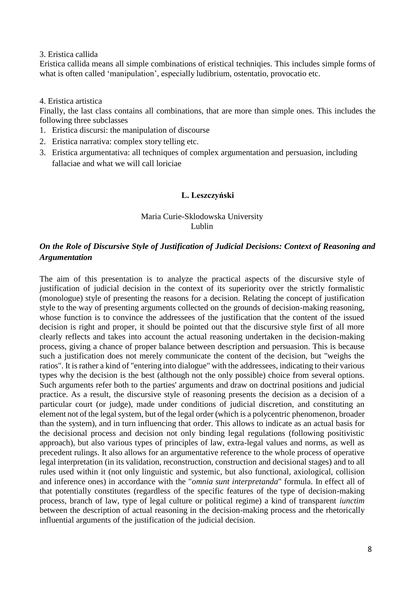## 3. Eristica callida

Eristica callida means all simple combinations of eristical techniqies. This includes simple forms of what is often called 'manipulation', especially ludibrium, ostentatio, provocatio etc.

## 4. Eristica artistica

Finally, the last class contains all combinations, that are more than simple ones. This includes the following three subclasses

- 1. Eristica discursi: the manipulation of discourse
- 2. Eristica narrativa: complex story telling etc.
- 3. Eristica argumentativa: all techniques of complex argumentation and persuasion, including fallaciae and what we will call loriciae

## **L. Leszczyński**

## Maria Curie-Sklodowska University Lublin

## *On the Role of Discursive Style of Justification of Judicial Decisions: Context of Reasoning and Argumentation*

The aim of this presentation is to analyze the practical aspects of the discursive style of justification of judicial decision in the context of its superiority over the strictly formalistic (monologue) style of presenting the reasons for a decision. Relating the concept of justification style to the way of presenting arguments collected on the grounds of decision-making reasoning, whose function is to convince the addressees of the justification that the content of the issued decision is right and proper, it should be pointed out that the discursive style first of all more clearly reflects and takes into account the actual reasoning undertaken in the decision-making process, giving a chance of proper balance between description and persuasion. This is because such a justification does not merely communicate the content of the decision, but "weighs the ratios". It israther a kind of "entering into dialogue" with the addressees, indicating to their various types why the decision is the best (although not the only possible) choice from several options. Such arguments refer both to the parties' arguments and draw on doctrinal positions and judicial practice. As a result, the discursive style of reasoning presents the decision as a decision of a particular court (or judge), made under conditions of judicial discretion, and constituting an element not of the legal system, but of the legal order (which is a polycentric phenomenon, broader than the system), and in turn influencing that order. This allows to indicate as an actual basis for the decisional process and decision not only binding legal regulations (following positivistic approach), but also various types of principles of law, extra-legal values and norms, as well as precedent rulings. It also allows for an argumentative reference to the whole process of operative legal interpretation (in its validation, reconstruction, construction and decisional stages) and to all rules used within it (not only linguistic and systemic, but also functional, axiological, collision and inference ones) in accordance with the "*omnia sunt interpretanda*" formula. In effect all of that potentially constitutes (regardless of the specific features of the type of decision-making process, branch of law, type of legal culture or political regime) a kind of transparent *iunctim* between the description of actual reasoning in the decision-making process and the rhetorically influential arguments of the justification of the judicial decision.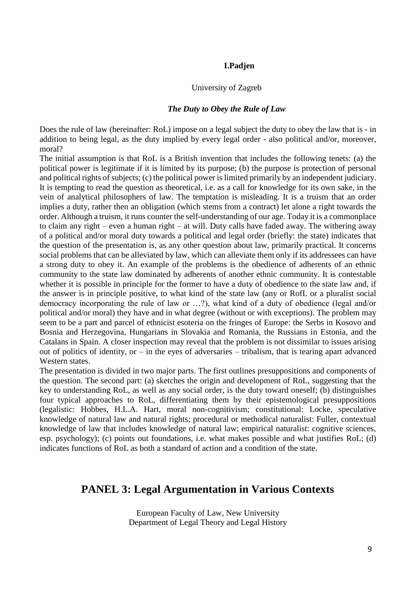## **I.Padjen**

## University of Zagreb

## *The Duty to Obey the Rule of Law*

Does the rule of law (hereinafter: RoL) impose on a legal subject the duty to obey the law that is - in addition to being legal, as the duty implied by every legal order - also political and/or, moreover, moral?

The initial assumption is that RoL is a British invention that includes the following tenets: (a) the political power is legitimate if it is limited by its purpose; (b) the purpose is protection of personal and political rights of subjects; (c) the political power is limited primarily by an independent judiciary. It is tempting to read the question as theoretical, i.e. as a call for knowledge for its own sake, in the vein of analytical philosophers of law. The temptation is misleading. It is a truism that an order implies a duty, rather then an obligation (which stems from a contract) let alone a right towards the order. Although a truism, it runs counter the self-understanding of our age. Today it is a commonplace to claim any right – even a human right – at will. Duty calls have faded away. The withering away of a political and/or moral duty towards a political and legal order (briefly: the state) indicates that the question of the presentation is, as any other question about law, primarily practical. It concerns social problems that can be alleviated by law, which can alleviate them only if its addressees can have a strong duty to obey it. An example of the problems is the obedience of adherents of an ethnic community to the state law dominated by adherents of another ethnic community. It is contestable whether it is possible in principle for the former to have a duty of obedience to the state law and, if the answer is in principle positive, to what kind of the state law (any or RofL or a pluralist social democracy incorporating the rule of law or …?), what kind of a duty of obedience (legal and/or political and/or moral) they have and in what degree (without or with exceptions). The problem may seem to be a part and parcel of ethnicist esoteria on the fringes of Europe: the Serbs in Kosovo and Bosnia and Herzegovina, Hungarians in Slovakia and Romania, the Russians in Estonia, and the Catalans in Spain. A closer inspection may reveal that the problem is not dissimilar to issues arising out of politics of identity, or  $-$  in the eyes of adversaries  $-$  tribalism, that is tearing apart advanced Western states.

The presentation is divided in two major parts. The first outlines presuppositions and components of the question. The second part: (a) sketches the origin and development of RoL, suggesting that the key to understanding RoL, as well as any social order, is the duty toward oneself; (b) distinguishes four typical approaches to RoL, differentiating them by their epistemological presuppositions (legalistic: Hobbes, H.L.A. Hart, moral non-cognitivism; constitutional: Locke, speculative knowledge of natural law and natural rights; procedural or methodical naturalist: Fuller, contextual knowledge of law that includes knowledge of natural law; empirical naturalist: cognitive sciences, esp. psychology); (c) points out foundations, i.e. what makes possible and what justifies RoL; (d) indicates functions of RoL as both a standard of action and a condition of the state.

## **PANEL 3: Legal Argumentation in Various Contexts**

European Faculty of Law, New University Department of Legal Theory and Legal History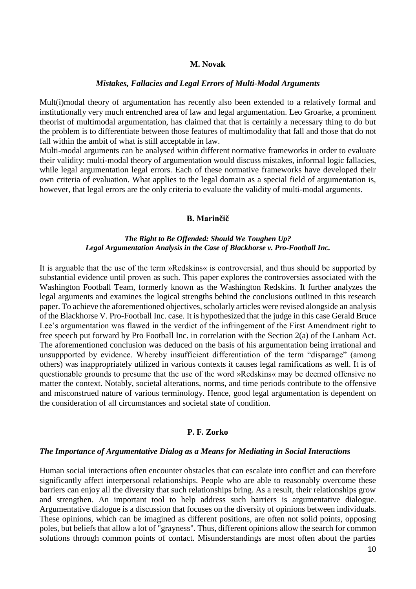### **M. Novak**

#### *Mistakes, Fallacies and Legal Errors of Multi-Modal Arguments*

Mult(i)modal theory of argumentation has recently also been extended to a relatively formal and institutionally very much entrenched area of law and legal argumentation. Leo Groarke, a prominent theorist of multimodal argumentation, has claimed that that is certainly a necessary thing to do but the problem is to differentiate between those features of multimodality that fall and those that do not fall within the ambit of what is still acceptable in law.

Multi-modal arguments can be analysed within different normative frameworks in order to evaluate their validity: multi-modal theory of argumentation would discuss mistakes, informal logic fallacies, while legal argumentation legal errors. Each of these normative frameworks have developed their own criteria of evaluation. What applies to the legal domain as a special field of argumentation is, however, that legal errors are the only criteria to evaluate the validity of multi-modal arguments.

#### **B. Marinčič**

## *The Right to Be Offended: Should We Toughen Up? Legal Argumentation Analysis in the Case of Blackhorse v. Pro-Football Inc.*

It is arguable that the use of the term »Redskins« is controversial, and thus should be supported by substantial evidence until proven as such. This paper explores the controversies associated with the Washington Football Team, formerly known as the Washington Redskins. It further analyzes the legal arguments and examines the logical strengths behind the conclusions outlined in this research paper. To achieve the aforementioned objectives, scholarly articles were revised alongside an analysis of the Blackhorse V. Pro-Football Inc. case. It is hypothesized that the judge in this case Gerald Bruce Lee's argumentation was flawed in the verdict of the infringement of the First Amendment right to free speech put forward by Pro Football Inc. in correlation with the Section 2(a) of the Lanham Act. The aforementioned conclusion was deduced on the basis of his argumentation being irrational and unsuppported by evidence. Whereby insufficient differentiation of the term "disparage" (among others) was inappropriately utilized in various contexts it causes legal ramifications as well. It is of questionable grounds to presume that the use of the word »Redskins« may be deemed offensive no matter the context. Notably, societal alterations, norms, and time periods contribute to the offensive and misconstrued nature of various terminology. Hence, good legal argumentation is dependent on the consideration of all circumstances and societal state of condition.

#### **P. F. Zorko**

#### *The Importance of Argumentative Dialog as a Means for Mediating in Social Interactions*

Human social interactions often encounter obstacles that can escalate into conflict and can therefore significantly affect interpersonal relationships. People who are able to reasonably overcome these barriers can enjoy all the diversity that such relationships bring. As a result, their relationships grow and strengthen. An important tool to help address such barriers is argumentative dialogue. Argumentative dialogue is a discussion that focuses on the diversity of opinions between individuals. These opinions, which can be imagined as different positions, are often not solid points, opposing poles, but beliefs that allow a lot of "grayness". Thus, different opinions allow the search for common solutions through common points of contact. Misunderstandings are most often about the parties